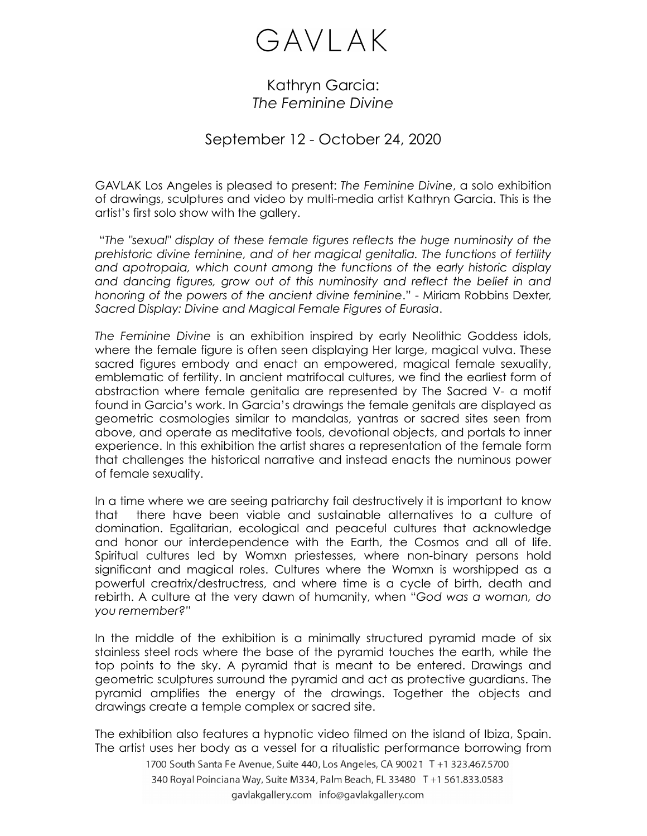## GAVLAK

## Kathryn Garcia: *The Feminine Divine*

## September 12 - October 24, 2020

GAVLAK Los Angeles is pleased to present: *The Feminine Divine*, a solo exhibition of drawings, sculptures and video by multi-media artist Kathryn Garcia. This is the artist's first solo show with the gallery.

 "*The "sexual" display of these female figures reflects the huge numinosity of the prehistoric divine feminine, and of her magical genitalia. The functions of fertility and apotropaia, which count among the functions of the early historic display and dancing figures, grow out of this numinosity and reflect the belief in and honoring of the powers of the ancient divine feminine*." - Miriam Robbins Dexter, *Sacred Display: Divine and Magical Female Figures of Eurasia*.

*The Feminine Divine* is an exhibition inspired by early Neolithic Goddess idols, where the female figure is often seen displaying Her large, magical vulva. These sacred figures embody and enact an empowered, magical female sexuality, emblematic of fertility. In ancient matrifocal cultures, we find the earliest form of abstraction where female genitalia are represented by The Sacred V- a motif found in Garcia's work. In Garcia's drawings the female genitals are displayed as geometric cosmologies similar to mandalas, yantras or sacred sites seen from above, and operate as meditative tools, devotional objects, and portals to inner experience. In this exhibition the artist shares a representation of the female form that challenges the historical narrative and instead enacts the numinous power of female sexuality.

In a time where we are seeing patriarchy fail destructively it is important to know that there have been viable and sustainable alternatives to a culture of domination. Egalitarian, ecological and peaceful cultures that acknowledge and honor our interdependence with the Earth, the Cosmos and all of life. Spiritual cultures led by Womxn priestesses, where non-binary persons hold significant and magical roles. Cultures where the Womxn is worshipped as a powerful creatrix/destructress, and where time is a cycle of birth, death and rebirth. A culture at the very dawn of humanity, when "*God was a woman, do you remember?"* 

In the middle of the exhibition is a minimally structured pyramid made of six stainless steel rods where the base of the pyramid touches the earth, while the top points to the sky. A pyramid that is meant to be entered. Drawings and geometric sculptures surround the pyramid and act as protective guardians. The pyramid amplifies the energy of the drawings. Together the objects and drawings create a temple complex or sacred site.

The exhibition also features a hypnotic video filmed on the island of Ibiza, Spain. The artist uses her body as a vessel for a ritualistic performance borrowing from

1700 South Santa Fe Avenue, Suite 440, Los Angeles, CA 90021 T +1 323.467.5700 340 Royal Poinciana Way, Suite M334, Palm Beach, FL 33480 T +1 561.833.0583 gavlakgallery.com info@gavlakgallery.com